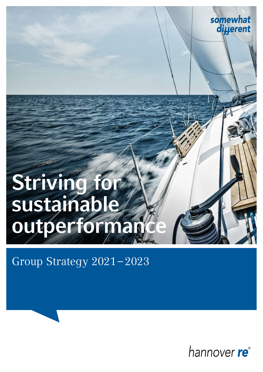# Striving for sustainable outperforman

Group Strategy 2021–2023



somewhat

diµerent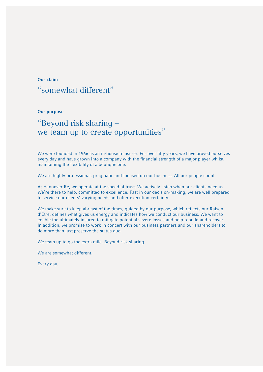#### Our claim

### "somewhat different"

#### Our purpose

### "Beyond risk sharing – we team up to create opportunities"

We were founded in 1966 as an in-house reinsurer. For over fifty years, we have proved ourselves every day and have grown into a company with the financial strength of a major player whilst maintaining the flexibility of a boutique one.

We are highly professional, pragmatic and focused on our business. All our people count.

At Hannover Re, we operate at the speed of trust. We actively listen when our clients need us. We're there to help, committed to excellence. Fast in our decision-making, we are well prepared to service our clients' varying needs and offer execution certainty.

We make sure to keep abreast of the times, guided by our purpose, which reflects our Raison d'Être, defines what gives us energy and indicates how we conduct our business. We want to enable the ultimately insured to mitigate potential severe losses and help rebuild and recover. In addition, we promise to work in concert with our business partners and our shareholders to do more than just preserve the status quo.

We team up to go the extra mile. Beyond risk sharing.

We are somewhat different.

Every day.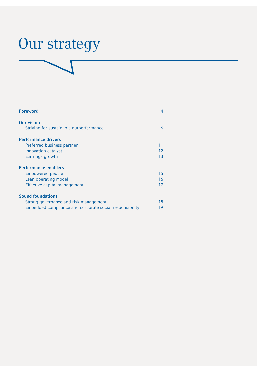# Our strategy

| <b>Foreword</b>                                         | 4  |
|---------------------------------------------------------|----|
| <b>Our vision</b>                                       |    |
| Striving for sustainable outperformance                 | 6  |
| <b>Performance drivers</b>                              |    |
| Preferred business partner                              | 11 |
| Innovation catalyst                                     | 12 |
| Earnings growth                                         | 13 |
| <b>Performance enablers</b>                             |    |
| <b>Empowered people</b>                                 | 15 |
| Lean operating model                                    | 16 |
| Effective capital management                            | 17 |
| <b>Sound foundations</b>                                |    |
| Strong governance and risk management                   | 18 |
| Embedded compliance and corporate social responsibility | 19 |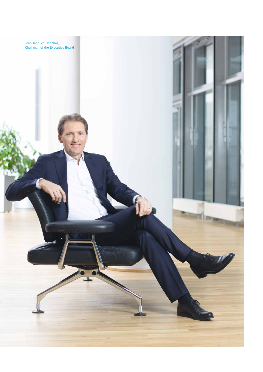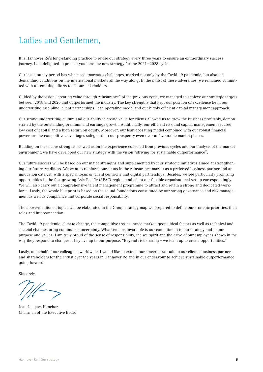### Ladies and Gentlemen,

It is Hannover Re's long-standing practice to revise our strategy every three years to ensure an extraordinary success journey. I am delighted to present you here the new strategy for the 2021–2023 cycle.

Our last strategy period has witnessed enormous challenges, marked not only by the Covid-19 pandemic, but also the demanding conditions on the international markets all the way along. In the midst of these adversities, we remained committed with unremitting efforts to all our stakeholders.

Guided by the vision "creating value through reinsurance" of the previous cycle, we managed to achieve our strategic targets between 2018 and 2020 and outperformed the industry. The key strengths that kept our position of excellence lie in our underwriting discipline, client partnerships, lean operating model and our highly efficient capital management approach.

Our strong underwriting culture and our ability to create value for clients allowed us to grow the business profitably, demonstrated by the outstanding premium and earnings growth. Additionally, our efficient risk and capital management secured low cost of capital and a high return on equity. Moreover, our lean operating model combined with our robust financial power are the competitive advantages safeguarding our prosperity even over unfavourable market phases.

Building on these core strengths, as well as on the experience collected from previous cycles and our analysis of the market environment, we have developed our new strategy with the vision "striving for sustainable outperformance".

Our future success will be based on our major strengths and supplemented by four strategic initiatives aimed at strengthening our future-readiness. We want to reinforce our status in the reinsurance market as a preferred business partner and an innovation catalyst, with a special focus on client centricity and digital partnerships. Besides, we see particularly promising opportunities in the fast-growing Asia-Pacific (APAC) region, and adapt our flexible organisational set-up correspondingly. We will also carry out a comprehensive talent management programme to attract and retain a strong and dedicated workforce. Lastly, the whole blueprint is based on the sound foundations constituted by our strong governance and risk management as well as compliance and corporate social responsibility.

The above-mentioned topics will be elaborated in the Group strategy map we prepared to define our strategic priorities, their roles and interconnection.

The Covid-19 pandemic, climate change, the competitive (re)insurance market, geopolitical factors as well as technical and societal changes bring continuous uncertainty. What remains invariable is our commitment to our strategy and to our purpose and values. I am truly proud of the sense of responsibility, the we-spirit and the drive of our employees shown in the way they respond to changes. They live up to our purpose: "Beyond risk sharing – we team up to create opportunities."

Lastly, on behalf of our colleagues worldwide, I would like to extend our sincere gratitude to our clients, business partners and shareholders for their trust over the years in Hannover Re and in our endeavour to achieve sustainable outperformance going forward.

Sincerely,

Jean-Jacques Henchoz Chairman of the Executive Board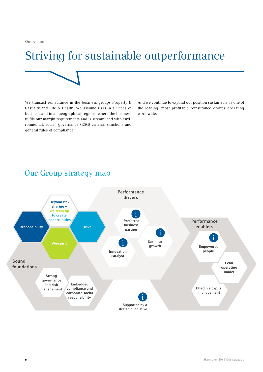Our vision

## Striving for sustainable outperformance

We transact reinsurance in the business groups Property & Casualty and Life & Health. We assume risks in all lines of business and in all geographical regions, where the business fulfils our margin requirements and is streamlined with environmental, social, governance (ESG) criteria, sanctions and general rules of compliance.

And we continue to expand our position sustainably as one of the leading, most profitable reinsurance groups operating worldwide.

### Our Group strategy map

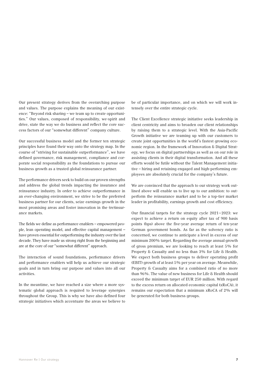Our present strategy derives from the overarching purpose and values. The purpose explains the meaning of our existence: "Beyond risk sharing – we team up to create opportunities." Our values, composed of responsibility, we-spirit and drive, state the way we do business and reflect the core success factors of our "somewhat different" company culture.

Our successful business model and the former ten strategic principles have found their way onto the strategy map. In the course of "striving for sustainable outperformance", we have defined governance, risk management, compliance and corporate social responsibility as the foundations to pursue our business growth as a trusted global reinsurance partner.

The performance drivers seek to build on our proven strengths and address the global trends impacting the insurance and reinsurance industry. In order to achieve outperformance in an ever-changing environment, we strive to be the preferred business partner for our clients, seize earnings growth in the most promising areas and foster innovation in the (re)insurance markets.

The fields we define as performance enablers – empowered people, lean operating model, and effective capital management – have proven essential for outperforming the industry over the last decade. They have made us strong right from the beginning and are at the core of our "somewhat different" approach.

The interaction of sound foundations, performance drivers and performance enablers will help us achieve our strategic goals and in turn bring our purpose and values into all our activities.

In the meantime, we have reached a size where a more systematic global approach is required to leverage synergies throughout the Group. This is why we have also defined four strategic initiatives which accentuate the areas we believe to be of particular importance, and on which we will work intensely over the entire strategic cycle.

The Client Excellence strategic initiative seeks leadership in client centricity and aims to broaden our client relationships by raising them to a strategic level. With the Asia-Pacific Growth initiative we are teaming up with our customers to create joint opportunities in the world's fastest growing economic region. In the framework of Innovation & Digital Strategy, we focus on digital partnerships as well as on our role in assisting clients in their digital transformation. And all these efforts would be futile without the Talent Management initiative – hiring and retaining engaged and high-performing employees are absolutely crucial for the company's future.

We are convinced that the approach to our strategy work outlined above will enable us to live up to our ambition: to outperform the reinsurance market and to be a top-tier market leader in profitability, earnings growth and cost efficiency.

Our financial targets for the strategy cycle 2021–2023: we expect to achieve a return on equity after tax of 900 basis points (bps) above the five-year average return of ten-year German government bonds. As far as the solvency ratio is concerned, we continue to anticipate a level in excess of our minimum 200% target. Regarding the average annual growth of gross premium, we are looking to reach at least 5% for Property & Casualty and no less than 3% for Life & Health. We expect both business groups to deliver operating profit (EBIT) growth of at least 5% per year on average. Meanwhile, Property & Casualty aims for a combined ratio of no more than 96%. The value of new business for Life & Health should exceed the minimum target of EUR 250 million. With regard to the excess return on allocated economic capital (xRoCA), it remains our expectation that a minimum xRoCA of 2% will be generated for both business groups.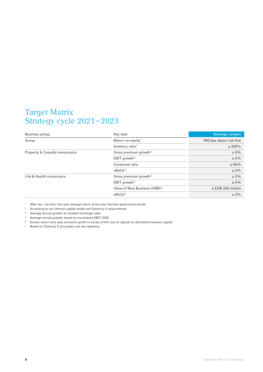### Target Matrix Strategy cycle 2021–2023

| Business group                  | Key data                                 | <b>Strategic targets</b> |
|---------------------------------|------------------------------------------|--------------------------|
| Group                           | Return on equity <sup>1</sup>            | 900 bps above risk-free  |
|                                 | Solvency ratio <sup>2</sup>              | $\geq 200\%$             |
| Property & Casualty reinsurance | Gross premium growth <sup>3</sup>        | $\geq 5\%$               |
|                                 | EBIT growth <sup>4</sup>                 | $\geq 5\%$               |
|                                 | Combined ratio                           | $\leq 96\%$              |
|                                 | xRoCA <sup>5</sup>                       | $\geq 2\%$               |
| Life & Health reinsurance       | Gross premium growth $3$                 | $\geq 3\%$               |
|                                 | EBIT growth <sup>4</sup>                 | $\geq 5\%$               |
|                                 | Value of New Business (VNB) <sup>6</sup> | $\ge$ EUR 250 million    |
|                                 | xRoCA <sup>5</sup>                       | $\geq 2\%$               |

<sup>1</sup> After tax; risk-free: five-year average return of ten-year German government bonds

<sup>2</sup> According to our internal capital model and Solvency II requirements

<sup>3</sup> Average annual growth at constant exchange rates

<sup>4</sup> Average annual growth; based on normalised EBIT 2020

<sup>5</sup> Excess return (one-year economic profit in excess of the cost of capital) on allocated economic capital

<sup>6</sup> Based on Solvency II principles; pre-tax reporting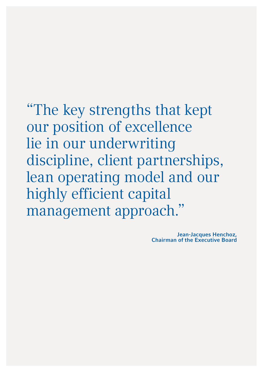"The key strengths that kept our position of excellence lie in our underwriting discipline, client partnerships, lean operating model and our highly efficient capital management approach."

> Jean-Jacques Henchoz, Chairman of the Executive Board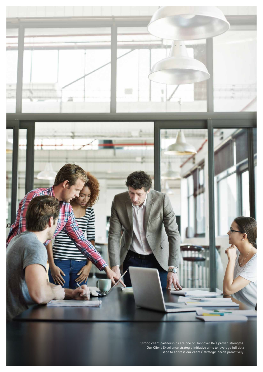

Strong client partnerships are one of Hannover Re's proven strengths. Our Client Excellence strategic initiative aims to leverage full data usage to address our clients' strategic needs proactively.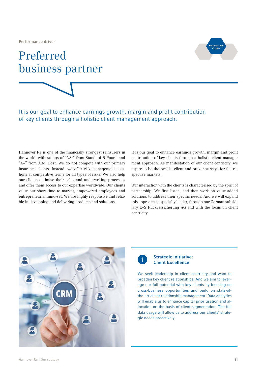Performance driver

### Preferred business partner



It is our goal to enhance earnings growth, margin and profit contribution of key clients through a holistic client management approach.

Hannover Re is one of the financially strongest reinsurers in the world, with ratings of "AA-" from Standard & Poor's and "A+" from A.M. Best. We do not compete with our primary insurance clients. Instead, we offer risk management solutions at competitive terms for all types of risks. We also help our clients optimise their sales and underwriting processes and offer them access to our expertise worldwide. Our clients value our short time to market, empowered employees and entrepreneurial mind-set. We are highly responsive and reliable in developing and delivering products and solutions.

It is our goal to enhance earnings growth, margin and profit contribution of key clients through a holistic client management approach. As manifestation of our client centricity, we aspire to be the best in client and broker surveys for the respective markets.

Our interaction with the clients is characterised by the spirit of partnership. We first listen, and then work on value-added solutions to address their specific needs. And we will expand this approach as specialty leader, through our German subsidiary E+S Rückversicherung AG and with the focus on client centricity.



### i

#### Strategic initiative: Client Excellence

We seek leadership in client centricity and want to broaden key client relationships. And we aim to leverage our full potential with key clients by focusing on cross-business opportunities and build on state-ofthe-art client relationship management. Data analytics will enable us to enhance capital prioritisation and allocation on the basis of client segmentation. The full data usage will allow us to address our clients' strategic needs proactively.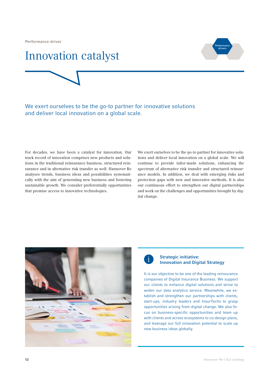Performance driver



# Innovation catalyst

We exert ourselves to be the go-to partner for innovative solutions and deliver local innovation on a global scale.

For decades, we have been a catalyst for innovation. Our track record of innovation comprises new products and solutions in the traditional reinsurance business, structured reinsurance and in alternative risk transfer as well. Hannover Re analyses trends, business ideas and possibilities systematically with the aim of generating new business and fostering sustainable growth. We consider preferentially opportunities that promise access to innovative technologies.

We exert ourselves to be the go-to partner for innovative solutions and deliver local innovation on a global scale. We will continue to provide tailor-made solutions, enhancing the spectrum of alternative risk transfer and structured reinsurance models. In addition, we deal with emerging risks and protection gaps with new and innovative methods. It is also our continuous effort to strengthen our digital partnerships and work on the challenges and opportunities brought by digital change.





#### Strategic initiative: Innovation and Digital Strategy

It is our objective to be one of the leading reinsurance companies of Digital Insurance Business. We support our clients to enhance digital solutions and strive to widen our data analytics service. Meanwhile, we establish and strengthen our partnerships with clients, start-ups, industry leaders and InsurTechs to grasp opportunities arising from digital change. We also focus on business-specific opportunities and team up with clients and across ecosystems to co-design plans, and leverage our full innovation potential to scale up new business ideas globally.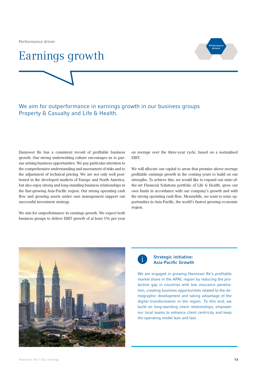Performance driver

### Earnings growth



### We aim for outperformance in earnings growth in our business groups Property & Casualty and Life & Health.

Hannover Re has a consistent record of profitable business growth. Our strong underwriting culture encourages us to pursue arising business opportunities. We pay particular attention to the comprehensive understanding and assessment of risks and to the adjustment of technical pricing. We are not only well positioned in the developed markets of Europe and North America, but also enjoy strong and long-standing business relationships in the fast-growing Asia-Pacific region. Our strong operating cash flow and growing assets under own management support our successful investment strategy.

We aim for outperformance in earnings growth. We expect both business groups to deliver EBIT growth of at least 5% per year on average over the three-year cycle, based on a normalised EBIT.

We will allocate our capital to areas that promise above-average profitable earnings growth in the coming years to build on our strengths. To achieve this, we would like to expand our state-ofthe-art Financial Solutions portfolio of Life & Health, grow our own funds in accordance with our company's growth and with the strong operating cash flow. Meanwhile, we want to seize opportunities in Asia-Pacific, the world's fastest growing economic region.





#### Strategic initiative: Asia-Pacific Growth

We are engaged in growing Hannover Re's profitable market share in the APAC region by reducing the protection gap in countries with low insurance penetration, creating business opportunities related to the demographic development and taking advantage of the digital transformation in the region. To this end, we build on long-standing client relationships, empower our local teams to enhance client centricity and keep the operating model lean and fast.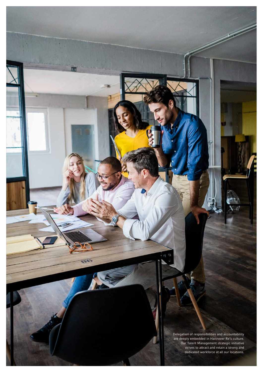Delegation of responsibilities and accountability are deeply embedded in Hannover Re's culture. Our Talent Management strategic initiative strives to attract and retain a strong and dedicated workforce at all our locations.

14 Hannover Re | Our strategy

ESKS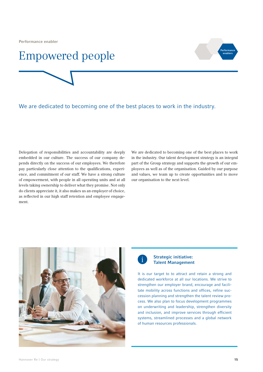Performance enabler

### Empowered people



### We are dedicated to becoming one of the best places to work in the industry.

Delegation of responsibilities and accountability are deeply embedded in our culture. The success of our company depends directly on the success of our employees. We therefore pay particularly close attention to the qualifications, experience, and commitment of our staff. We have a strong culture of empowerment, with people in all operating units and at all levels taking ownership to deliver what they promise. Not only do clients appreciate it, it also makes us an employer of choice, as reflected in our high staff retention and employee engagement.

We are dedicated to becoming one of the best places to work in the industry. Our talent development strategy is an integral part of the Group strategy and supports the growth of our employees as well as of the organisation. Guided by our purpose and values, we team up to create opportunities and to move our organisation to the next level.





#### Strategic initiative: Talent Management

It is our target to to attract and retain a strong and dedicated workforce at all our locations. We strive to strengthen our employer brand, encourage and facilitate mobility across functions and offices, refine succession planning and strengthen the talent review process. We also plan to focus development programmes on underwriting and leadership, strengthen diversity and inclusion, and improve services through efficient systems, streamlined processes and a global network of human resources professionals.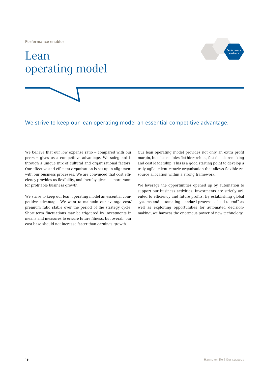Performance enabler

# Lean operating model



#### We strive to keep our lean operating model an essential competitive advantage.

We believe that our low expense ratio – compared with our peers – gives us a competitive advantage. We safeguard it through a unique mix of cultural and organisational factors. Our effective and efficient organisation is set up in alignment with our business processes. We are convinced that cost efficiency provides us flexibility, and thereby gives us more room for profitable business growth.

We strive to keep our lean operating model an essential competitive advantage. We want to maintain our average cost/ premium ratio stable over the period of the strategy cycle. Short-term fluctuations may be triggered by investments in means and measures to ensure future fitness, but overall, our cost base should not increase faster than earnings growth.

Our lean operating model provides not only an extra profit margin, but also enables flat hierarchies, fast decision-making and cost leadership. This is a good starting point to develop a truly agile, client-centric organisation that allows flexible resource allocation within a strong framework.

We leverage the opportunities opened up by automation to support our business activities. Investments are strictly oriented to efficiency and future profits. By establishing global systems and automating standard processes "end to end" as well as exploiting opportunities for automated decisionmaking, we harness the enormous power of new technology.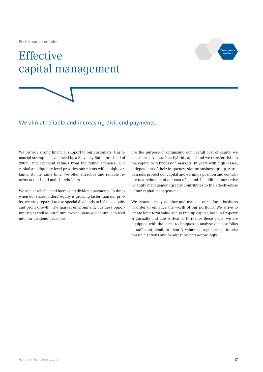Performance enabler

# **Effective** capital management



#### We aim at reliable and increasing dividend payments.

We provide strong financial support to our customers. Our financial strength is evidenced by a Solvency Ratio threshold of 200% and excellent ratings from the rating agencies. Our capital and liquidity level provides our clients with a high certainty. At the same time, we offer attractive and reliable returns to our bond and shareholders.

We aim at reliable and increasing dividend payments. In times when our shareholders' equity is growing faster than our profits, we are prepared to use special dividends to balance equity and profit growth. The market environment, business opportunities as well as our future growth plans will continue to feed into our dividend decisions.

For the purpose of optimising our overall cost of capital we use alternatives such as hybrid capital and we transfer risks to the capital or retrocession markets. In years with high losses, independent of their frequency, size or business group, retrocessions protect our capital and earnings position and contribute to a reduction of our cost of capital. In addition, our active volatility management greatly contributes to the effectiveness of our capital management.

We systematically monitor and manage our inforce business in order to enhance the worth of our portfolio. We strive to create long-term value and to free up capital, both in Property & Casualty and Life & Health. To realise these goals, we are equipped with the latest techniques to analyse our portfolios in sufficient detail, to identify value-destroying risks, to take possible actions and to adjust pricing accordingly.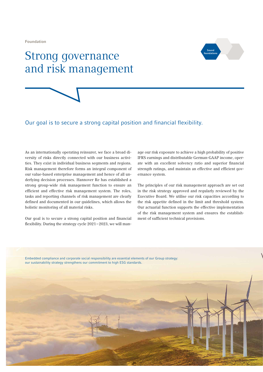Foundation

### Strong governance and risk management





#### Our goal is to secure a strong capital position and financial flexibility.

As an internationally operating reinsurer, we face a broad diversity of risks directly connected with our business activities. They exist in individual business segments and regions. Risk management therefore forms an integral component of our value-based enterprise management and hence of all underlying decision processes. Hannover Re has established a strong group-wide risk management function to ensure an efficient and effective risk management system. The roles, tasks and reporting channels of risk management are clearly defined and documented in our guidelines, which allows the holistic monitoring of all material risks.

Our goal is to secure a strong capital position and financial flexibility. During the strategy cycle 2021–2023, we will manage our risk exposure to achieve a high probability of positive IFRS earnings and distributable German-GAAP income, operate with an excellent solvency ratio and superior financial strength ratings, and maintain an effective and efficient governance system.

The principles of our risk management approach are set out in the risk strategy approved and regularly reviewed by the Executive Board. We utilise our risk capacities according to the risk appetite defined in the limit and threshold system. Our actuarial function supports the effective implementation of the risk management system and ensures the establishment of sufficient technical provisions.

Embedded compliance and corporate social responsibility are essential elements of our Group strategy: our sustainability strategy strengthens our commitment to high ESG standards.

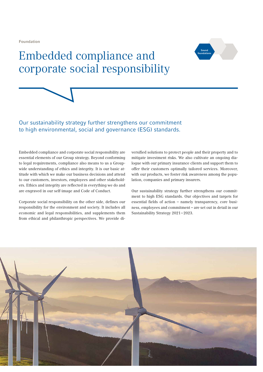Foundation

## Embedded compliance and corporate social responsibility





### Our sustainability strategy further strengthens our commitment to high environmental, social and governance (ESG) standards.

Embedded compliance and corporate social responsibility are essential elements of our Group strategy. Beyond conforming to legal requirements, compliance also means to us a Groupwide understanding of ethics and integrity. It is our basic attitude with which we make our business decisions and attend to our customers, investors, employees and other stakeholders. Ethics and integrity are reflected in everything we do and are engraved in our self-image and Code of Conduct.

Corporate social responsibility on the other side, defines our responsibility for the environment and society. It includes all economic and legal responsibilities, and supplements them from ethical and philanthropic perspectives. We provide diversified solutions to protect people and their property and to mitigate investment risks. We also cultivate an ongoing dialogue with our primary insurance clients and support them to offer their customers optimally tailored services. Moreover, with our products, we foster risk awareness among the population, companies and primary insurers.

Our sustainability strategy further strengthens our commitment to high ESG standards. Our objectives and targets for essential fields of action – namely transparency, core business, employees and commitment – are set out in detail in our Sustainability Strategy 2021–2023.